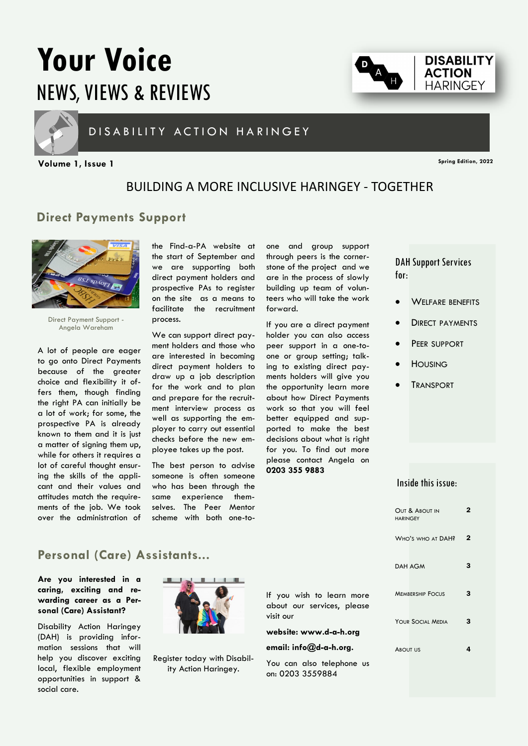# **Your Voice**  NEWS, VIEWS & REVIEWS



### D I S A B I LITY ACTION HARINGEY

**Spring Edition, 2022 Volume 1, Issue 1**

**DISABILITY ACTION HARINGEY** 

## BUILDING A MORE INCLUSIVE HARINGEY - TOGETHER

### **Direct Payments Support**



Direct Payment Support - Angela Wareham

A lot of people are eager to go onto Direct Payments because of the greater choice and flexibility it offers them, though finding the right PA can initially be a lot of work; for some, the prospective PA is already known to them and it is just a matter of signing them up, while for others it requires a lot of careful thought ensuring the skills of the applicant and their values and attitudes match the requirements of the job. We took over the administration of the Find-a-PA website at the start of September and we are supporting both direct payment holders and prospective PAs to register on the site as a means to facilitate the recruitment process.

We can support direct payment holders and those who are interested in becoming direct payment holders to draw up a job description for the work and to plan and prepare for the recruitment interview process as well as supporting the employer to carry out essential checks before the new employee takes up the post.

The best person to advise someone is often someone who has been through the same experience themselves. The Peer Mentor scheme with both one-toone and group support through peers is the cornerstone of the project and we are in the process of slowly building up team of volunteers who will take the work forward.

If you are a direct payment holder you can also access peer support in a one-toone or group setting; talking to existing direct payments holders will give you the opportunity learn more about how Direct Payments work so that you will feel better equipped and supported to make the best decisions about what is right for you. To find out more please contact Angela on **0203 355 9883**

DAH Support Services for:

- WELFARE BENEFITS
- **DIRECT PAYMENTS**
- PEER SUPPORT
- **HOUSING**
- **TRANSPORT**

### Inside this issue:

| OUT & ABOUT IN<br><b>HARINGEY</b> |   |
|-----------------------------------|---|
| WHO'S WHO AT DAH?                 | 2 |
| <b>DAH AGM</b>                    | з |
| <b>MEMBERSHIP FOCUS</b>           | з |
| YOUR SOCIAL MEDIA                 | 3 |
| <b>ABOUT US</b>                   |   |

### **Personal (Care) Assistants...**

**Are you interested in a caring, exciting and rewarding career as a Personal (Care) Assistant?**

Disability Action Haringey (DAH) is providing information sessions that will help you discover exciting local, flexible employment opportunities in support & social care.



Register today with Disability Action Haringey.

If you wish to learn more about our services, please visit our

#### **website: www.d-a-h.org**

#### **email: info@d-a-h.org.**

You can also telephone us on: 0203 3559884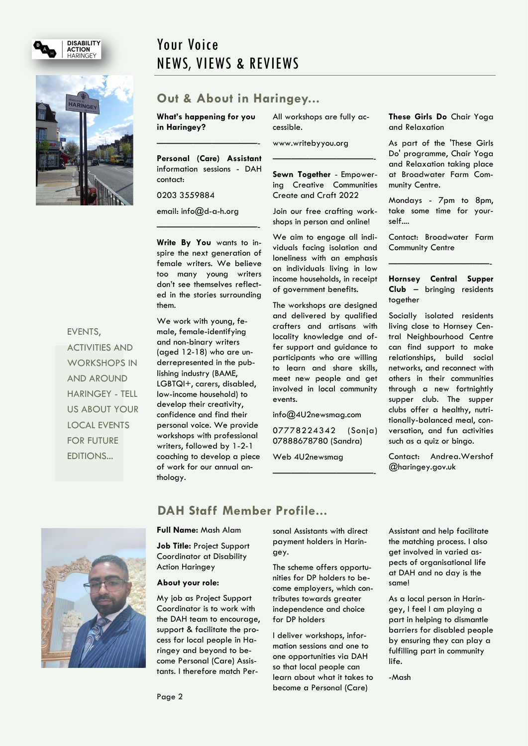



#### EVENTS,

ACTIVITIES AND WORKSHOPS IN AND AROUND HARINGEY - TELL US ABOUT YOUR LOCAL EVENTS FOR FUTURE EDITIONS...

# Your Voice NEWS, VIEWS & REVIEWS

### **Out & About in Haringey...**

**What's happening for you in Haringey?**

**Personal (Care) Assistant** information sessions - DAH contact:

———————————-

0203 3559884

email: info@d-a-h.org

**Write By You** wants to inspire the next generation of female writers. We believe too many young writers don't see themselves reflected in the stories surrounding them.

———————————-

We work with young, female, female-identifying and non-binary writers (aged 12-18) who are underrepresented in the publishing industry (BAME, LGBTQI+, carers, disabled, low-income household) to develop their creativity, confidence and find their personal voice. We provide workshops with professional writers, followed by 1-2-1 coaching to develop a piece of work for our annual anthology.

All workshops are fully accessible.

www.writebyyou.org

**Sewn Together** - Empowering Creative Communities Create and Craft 2022

———————————-

Join our free crafting workshops in person and online!

We aim to engage all individuals facing isolation and loneliness with an emphasis on individuals living in low income households, in receipt of government benefits.

The workshops are designed and delivered by qualified crafters and artisans with locality knowledge and offer support and guidance to participants who are willing to learn and share skills, meet new people and get involved in local community events.

info@4U2newsmag.com

07778224342 (Sonja) 07888678780 (Sandra)

———————————-

Web 4U2newsmag

**These Girls Do** Chair Yoga and Relaxation

As part of the 'These Girls Do' programme, Chair Yoga and Relaxation taking place at Broadwater Farm Community Centre.

Mondays - 7pm to 8pm, take some time for yourself....

Contact: Broadwater Farm Community Centre

———————————-

**Hornsey Central Supper Club** – bringing residents together

Socially isolated residents living close to Hornsey Central Neighbourhood Centre can find support to make relationships, build social networks, and reconnect with others in their communities through a new fortnightly supper club. The supper clubs offer a healthy, nutritionally-balanced meal, conversation, and fun activities such as a quiz or bingo.

Contact: Andrea.Wershof @haringey.gov.uk



### **DAH Staff Member Profile...**

#### **Full Name:** Mash Alam

**Job Title:** Project Support Coordinator at Disability Action Haringey

#### **About your role:**

My job as Project Support Coordinator is to work with the DAH team to encourage, support & facilitate the process for local people in Haringey and beyond to become Personal (Care) Assistants. I therefore match Personal Assistants with direct payment holders in Haringey.

The scheme offers opportunities for DP holders to become employers, which contributes towards greater independence and choice for DP holders

I deliver workshops, information sessions and one to one opportunities via DAH so that local people can learn about what it takes to become a Personal (Care)

Assistant and help facilitate the matching process. I also get involved in varied aspects of organisational life at DAH and no day is the same!

As a local person in Haringey, I feel I am playing a part in helping to dismantle barriers for disabled people by ensuring they can play a fulfilling part in community life.

-Mash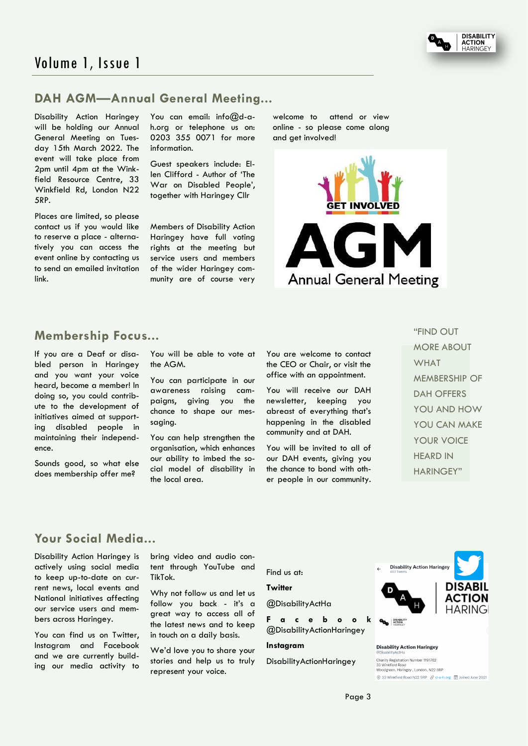



### **DAH AGM—Annual General Meeting...**

Disability Action Haringey will be holding our Annual General Meeting on Tuesday 15th March 2022. The event will take place from 2pm until 4pm at the Winkfield Resource Centre, 33 Winkfield Rd, London N22 5RP.

Places are limited, so please contact us if you would like to reserve a place - alternatively you can access the event online by contacting us to send an emailed invitation link.

You can email: info@d-ah.org or telephone us on: 0203 355 0071 for more information.

Guest speakers include: Ellen Clifford - Author of 'The War on Disabled People', together with Haringey Cllr

Members of Disability Action Haringey have full voting rights at the meeting but service users and members of the wider Haringey community are of course very

welcome to attend or view online - so please come along and get involved!



### **Membership Focus...**

If you are a Deaf or disabled person in Haringey and you want your voice heard, become a member! In doing so, you could contribute to the development of initiatives aimed at supporting disabled people in maintaining their independence.

Sounds good, so what else does membership offer me?

You will be able to vote at the AGM.

You can participate in our awareness raising campaigns, giving you the chance to shape our messaging.

You can help strengthen the organisation, which enhances our ability to imbed the social model of disability in the local area.

You are welcome to contact the CEO or Chair, or visit the office with an appointment.

You will receive our DAH newsletter, keeping you abreast of everything that's happening in the disabled community and at DAH.

You will be invited to all of our DAH events, giving you the chance to bond with other people in our community. "FIND OUT MORE ABOUT WHAT MEMBERSHIP OF DAH OFFERS YOU AND HOW YOU CAN MAKE YOUR VOICE HEARD IN HARINGEY"

### **Your Social Media...**

Disability Action Haringey is actively using social media to keep up-to-date on current news, local events and National initiatives affecting our service users and members across Haringey.

You can find us on Twitter, Instagram and Facebook and we are currently building our media activity to bring video and audio content through YouTube and TikTok.

Why not follow us and let us follow you back - it's a great way to access all of the latest news and to keep in touch on a daily basis.

We'd love you to share your stories and help us to truly represent your voice.

Find us at:

#### **Twitter**

@DisabilityActHa

**F a c e b o o k**  @DisabilityActionHaringey

#### **Instagram**

**DisabilityActionHaringey** 



**Disability Action Haringey** 

Charity Registration Number 1191762<br>33 Winkfield Road , wirikilelu koau<br>oodgreen, Haringey , London, N22 5RP © 33 Winkfield Road N22 5RP & d-a-h.org | Joined June 2021